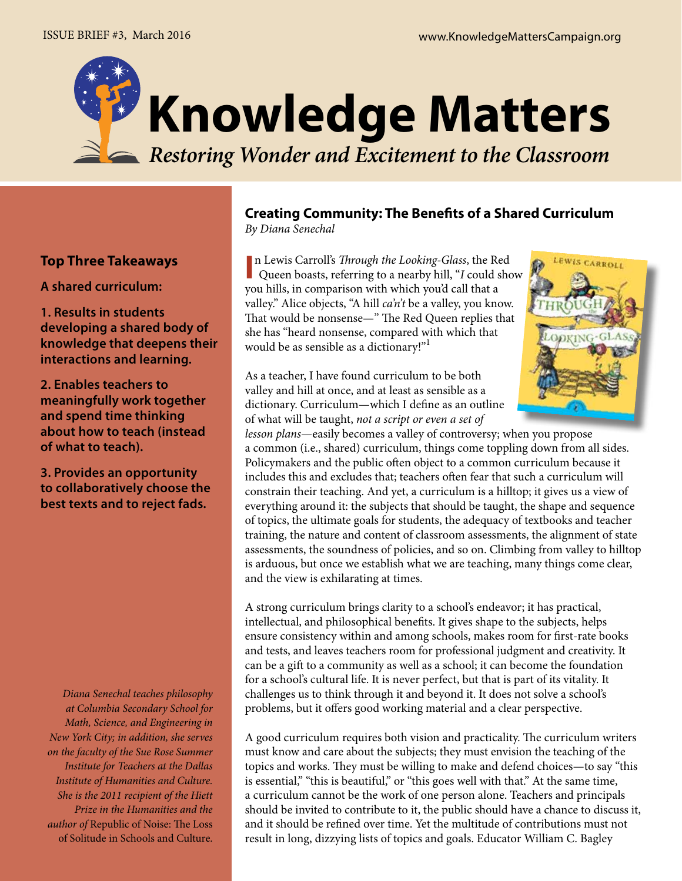

# **Top Three Takeaways**

**A shared curriculum:**

**1. Results in students developing a shared body of knowledge that deepens their interactions and learning.**

**2. Enables teachers to meaningfully work together and spend time thinking about how to teach (instead of what to teach).**

**3. Provides an opportunity to collaboratively choose the best texts and to reject fads.**

*Diana Senechal teaches philosophy at Columbia Secondary School for Math, Science, and Engineering in New York City; in addition, she serves on the faculty of the Sue Rose Summer Institute for Teachers at the Dallas Institute of Humanities and Culture. She is the 2011 recipient of the Hiett Prize in the Humanities and the author of* Republic of Noise: The Loss of Solitude in Schools and Culture.

## **Creating Community: The Benefits of a Shared Curriculum** *By Diana Senechal*

In Lewis Carroll's *Through the Looking-Glass*, the Red Queen boasts, referring to a nearby hill, "*I* could show n Lewis Carroll's *Through the Looking-Glass*, the Red you hills, in comparison with which you'd call that a valley." Alice objects, "A hill *ca'n't* be a valley, you know. That would be nonsense—" The Red Queen replies that she has "heard nonsense, compared with which that would be as sensible as a dictionary!"1

As a teacher, I have found curriculum to be both valley and hill at once, and at least as sensible as a dictionary. Curriculum—which I define as an outline of what will be taught, *not a script or even a set of* 

*lesson plans*—easily becomes a valley of controversy; when you propose a common (i.e., shared) curriculum, things come toppling down from all sides. Policymakers and the public often object to a common curriculum because it includes this and excludes that; teachers often fear that such a curriculum will constrain their teaching. And yet, a curriculum is a hilltop; it gives us a view of everything around it: the subjects that should be taught, the shape and sequence of topics, the ultimate goals for students, the adequacy of textbooks and teacher training, the nature and content of classroom assessments, the alignment of state assessments, the soundness of policies, and so on. Climbing from valley to hilltop is arduous, but once we establish what we are teaching, many things come clear, and the view is exhilarating at times.

A strong curriculum brings clarity to a school's endeavor; it has practical, intellectual, and philosophical benefits. It gives shape to the subjects, helps ensure consistency within and among schools, makes room for first-rate books and tests, and leaves teachers room for professional judgment and creativity. It can be a gift to a community as well as a school; it can become the foundation for a school's cultural life. It is never perfect, but that is part of its vitality. It challenges us to think through it and beyond it. It does not solve a school's problems, but it offers good working material and a clear perspective.

A good curriculum requires both vision and practicality. The curriculum writers must know and care about the subjects; they must envision the teaching of the topics and works. They must be willing to make and defend choices—to say "this is essential," "this is beautiful," or "this goes well with that." At the same time, a curriculum cannot be the work of one person alone. Teachers and principals should be invited to contribute to it, the public should have a chance to discuss it, and it should be refined over time. Yet the multitude of contributions must not result in long, dizzying lists of topics and goals. Educator William C. Bagley

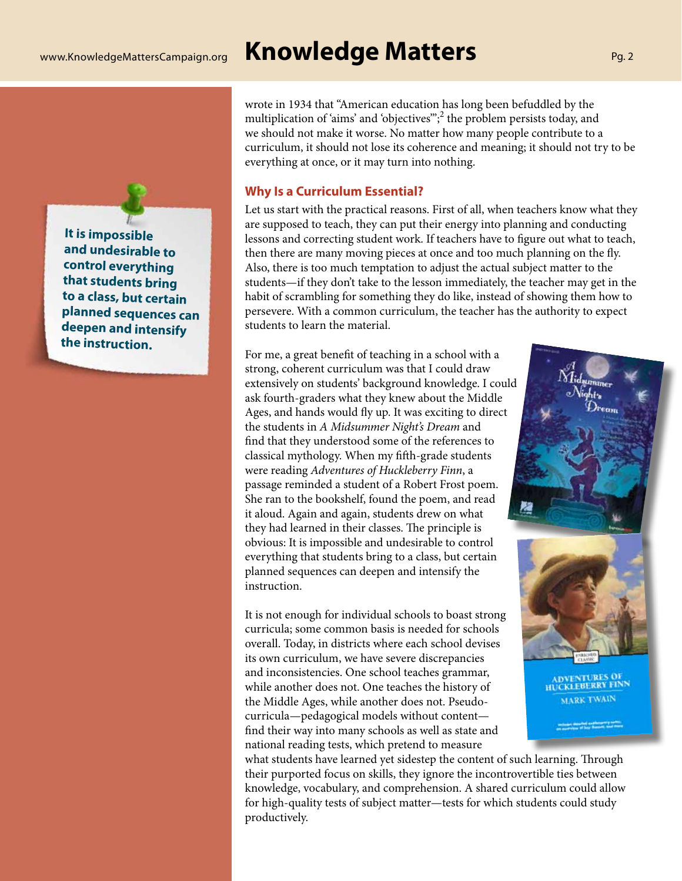# **It is impossible and undesirable to control everything that students bring to a class, but certain planned sequences can deepen and intensify the instruction.**

wrote in 1934 that "American education has long been befuddled by the multiplication of 'aims' and 'objectives"';<sup>2</sup> the problem persists today, and we should not make it worse. No matter how many people contribute to a curriculum, it should not lose its coherence and meaning; it should not try to be everything at once, or it may turn into nothing.

### **Why Is a Curriculum Essential?**

Let us start with the practical reasons. First of all, when teachers know what they are supposed to teach, they can put their energy into planning and conducting lessons and correcting student work. If teachers have to figure out what to teach, then there are many moving pieces at once and too much planning on the fly. Also, there is too much temptation to adjust the actual subject matter to the students—if they don't take to the lesson immediately, the teacher may get in the habit of scrambling for something they do like, instead of showing them how to persevere. With a common curriculum, the teacher has the authority to expect students to learn the material.

For me, a great benefit of teaching in a school with a strong, coherent curriculum was that I could draw extensively on students' background knowledge. I could ask fourth-graders what they knew about the Middle Ages, and hands would fly up. It was exciting to direct the students in *A Midsummer Night's Dream* and find that they understood some of the references to classical mythology. When my fifth-grade students were reading *Adventures of Huckleberry Finn*, a passage reminded a student of a Robert Frost poem. She ran to the bookshelf, found the poem, and read it aloud. Again and again, students drew on what they had learned in their classes. The principle is obvious: It is impossible and undesirable to control everything that students bring to a class, but certain planned sequences can deepen and intensify the instruction.

It is not enough for individual schools to boast strong curricula; some common basis is needed for schools overall. Today, in districts where each school devises its own curriculum, we have severe discrepancies and inconsistencies. One school teaches grammar, while another does not. One teaches the history of the Middle Ages, while another does not. Pseudocurricula—pedagogical models without content find their way into many schools as well as state and national reading tests, which pretend to measure

what students have learned yet sidestep the content of such learning. Through their purported focus on skills, they ignore the incontrovertible ties between knowledge, vocabulary, and comprehension. A shared curriculum could allow for high-quality tests of subject matter—tests for which students could study productively.





ADVENTURES OF HUCKLEBERRY FINN **MARK TWAIN**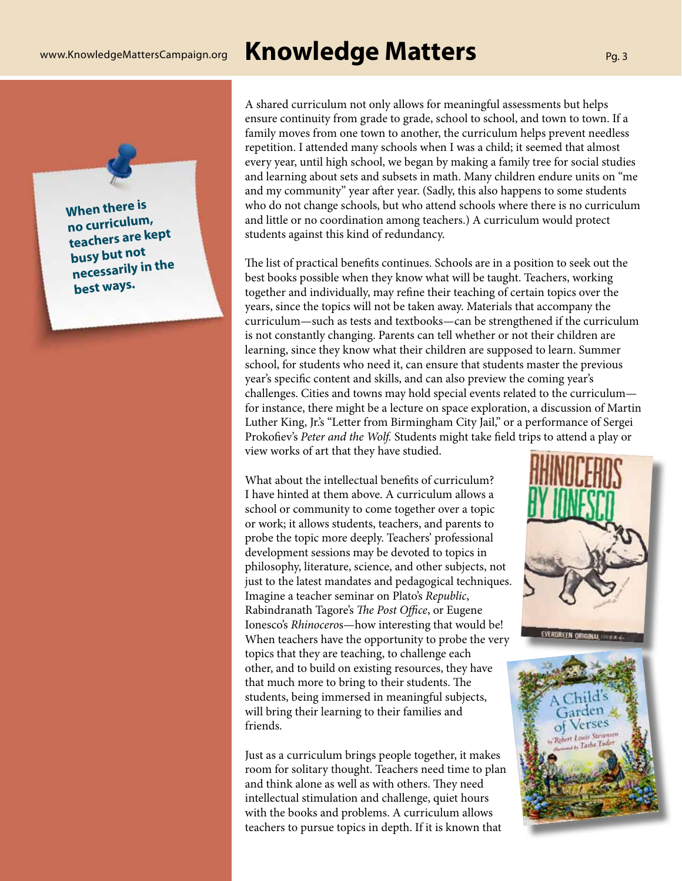# www.KnowledgeMattersCampaign.org **Knowledge Matters** Pg. <sup>3</sup>

**When there is no curriculum, teachers are kept busy but not necessarily in the best ways.**

A shared curriculum not only allows for meaningful assessments but helps ensure continuity from grade to grade, school to school, and town to town. If a family moves from one town to another, the curriculum helps prevent needless repetition. I attended many schools when I was a child; it seemed that almost every year, until high school, we began by making a family tree for social studies and learning about sets and subsets in math. Many children endure units on "me and my community" year after year. (Sadly, this also happens to some students who do not change schools, but who attend schools where there is no curriculum and little or no coordination among teachers.) A curriculum would protect students against this kind of redundancy.

The list of practical benefits continues. Schools are in a position to seek out the best books possible when they know what will be taught. Teachers, working together and individually, may refine their teaching of certain topics over the years, since the topics will not be taken away. Materials that accompany the curriculum—such as tests and textbooks—can be strengthened if the curriculum is not constantly changing. Parents can tell whether or not their children are learning, since they know what their children are supposed to learn. Summer school, for students who need it, can ensure that students master the previous year's specific content and skills, and can also preview the coming year's challenges. Cities and towns may hold special events related to the curriculum for instance, there might be a lecture on space exploration, a discussion of Martin Luther King, Jr.'s "Letter from Birmingham City Jail," or a performance of Sergei Prokofiev's *Peter and the Wolf.* Students might take field trips to attend a play or view works of art that they have studied.

What about the intellectual benefits of curriculum? I have hinted at them above. A curriculum allows a school or community to come together over a topic or work; it allows students, teachers, and parents to probe the topic more deeply. Teachers' professional development sessions may be devoted to topics in philosophy, literature, science, and other subjects, not just to the latest mandates and pedagogical techniques. Imagine a teacher seminar on Plato's *Republic*, Rabindranath Tagore's *The Post Office*, or Eugene Ionesco's *Rhinocero*s—how interesting that would be! When teachers have the opportunity to probe the very topics that they are teaching, to challenge each other, and to build on existing resources, they have that much more to bring to their students. The students, being immersed in meaningful subjects, will bring their learning to their families and friends.

Just as a curriculum brings people together, it makes room for solitary thought. Teachers need time to plan and think alone as well as with others. They need intellectual stimulation and challenge, quiet hours with the books and problems. A curriculum allows teachers to pursue topics in depth. If it is known that



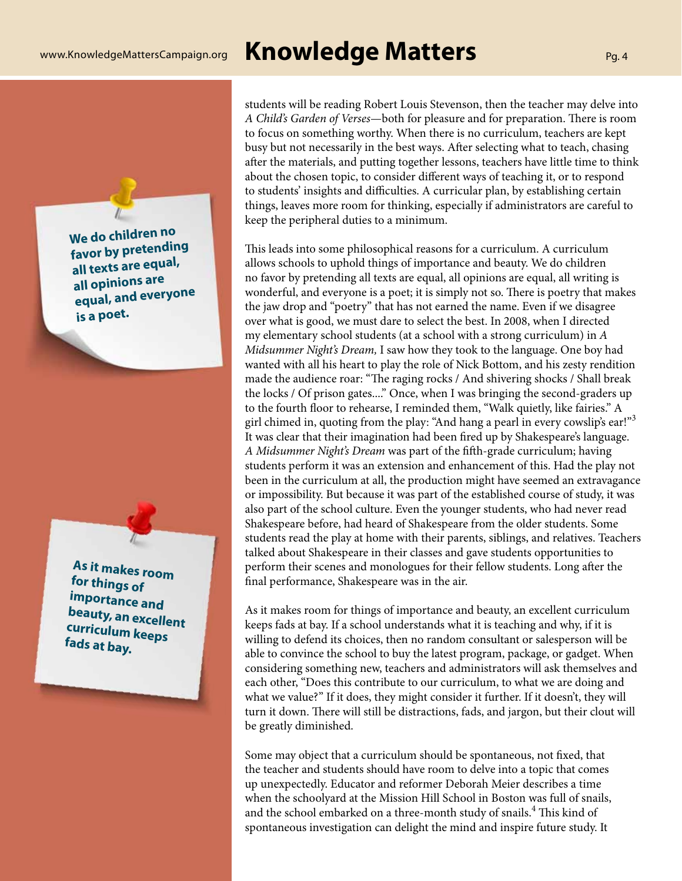students will be reading Robert Louis Stevenson, then the teacher may delve into *A Child's Garden of Verses*—both for pleasure and for preparation. There is room to focus on something worthy. When there is no curriculum, teachers are kept busy but not necessarily in the best ways. After selecting what to teach, chasing after the materials, and putting together lessons, teachers have little time to think about the chosen topic, to consider different ways of teaching it, or to respond to students' insights and difficulties. A curricular plan, by establishing certain things, leaves more room for thinking, especially if administrators are careful to keep the peripheral duties to a minimum.

This leads into some philosophical reasons for a curriculum. A curriculum allows schools to uphold things of importance and beauty. We do children no favor by pretending all texts are equal, all opinions are equal, all writing is wonderful, and everyone is a poet; it is simply not so. There is poetry that makes the jaw drop and "poetry" that has not earned the name. Even if we disagree over what is good, we must dare to select the best. In 2008, when I directed my elementary school students (at a school with a strong curriculum) in *A Midsummer Night's Dream,* I saw how they took to the language. One boy had wanted with all his heart to play the role of Nick Bottom, and his zesty rendition made the audience roar: "The raging rocks / And shivering shocks / Shall break the locks / Of prison gates...." Once, when I was bringing the second-graders up to the fourth floor to rehearse, I reminded them, "Walk quietly, like fairies." A girl chimed in, quoting from the play: "And hang a pearl in every cowslip's ear!"<sup>3</sup> It was clear that their imagination had been fired up by Shakespeare's language. *A Midsummer Night's Dream* was part of the fifth-grade curriculum; having students perform it was an extension and enhancement of this. Had the play not been in the curriculum at all, the production might have seemed an extravagance or impossibility. But because it was part of the established course of study, it was also part of the school culture. Even the younger students, who had never read Shakespeare before, had heard of Shakespeare from the older students. Some students read the play at home with their parents, siblings, and relatives. Teachers talked about Shakespeare in their classes and gave students opportunities to perform their scenes and monologues for their fellow students. Long after the final performance, Shakespeare was in the air.

As it makes room for things of importance and beauty, an excellent curriculum keeps fads at bay. If a school understands what it is teaching and why, if it is willing to defend its choices, then no random consultant or salesperson will be able to convince the school to buy the latest program, package, or gadget. When considering something new, teachers and administrators will ask themselves and each other, "Does this contribute to our curriculum, to what we are doing and what we value?" If it does, they might consider it further. If it doesn't, they will turn it down. There will still be distractions, fads, and jargon, but their clout will be greatly diminished.

Some may object that a curriculum should be spontaneous, not fixed, that the teacher and students should have room to delve into a topic that comes up unexpectedly. Educator and reformer Deborah Meier describes a time when the schoolyard at the Mission Hill School in Boston was full of snails, and the school embarked on a three-month study of snails. $\mathrm{^{4}}$  This kind of spontaneous investigation can delight the mind and inspire future study. It

**We do children no favor by pretending all texts are equal, all opinions are equal, and everyone is a poet.**

 $\sqrt{2}$ 

**As it makes room for things of importance and beauty, an excellent curriculum keeps fads at bay.**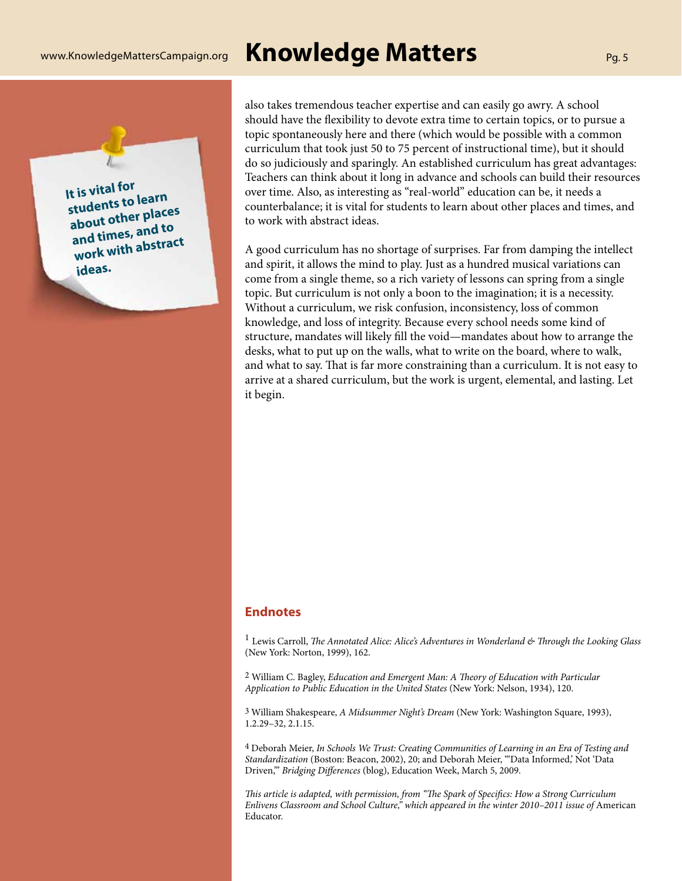**It is vital for** 

**ideas.**

**students to learn about other places and times, and to work with abstract** 

# www.KnowledgeMattersCampaign.org **Knowledge Matters** Pg. <sup>5</sup>

topic spontaneously here and there (which would be possible with a common curriculum that took just 50 to 75 percent of instructional time), but it should do so judiciously and sparingly. An established curriculum has great advantages: Teachers can think about it long in advance and schools can build their resources over time. Also, as interesting as "real-world" education can be, it needs a counterbalance; it is vital for students to learn about other places and times, and to work with abstract ideas.

also takes tremendous teacher expertise and can easily go awry. A school should have the flexibility to devote extra time to certain topics, or to pursue a

A good curriculum has no shortage of surprises. Far from damping the intellect and spirit, it allows the mind to play. Just as a hundred musical variations can come from a single theme, so a rich variety of lessons can spring from a single topic. But curriculum is not only a boon to the imagination; it is a necessity. Without a curriculum, we risk confusion, inconsistency, loss of common knowledge, and loss of integrity. Because every school needs some kind of structure, mandates will likely fill the void—mandates about how to arrange the desks, what to put up on the walls, what to write on the board, where to walk, and what to say. That is far more constraining than a curriculum. It is not easy to arrive at a shared curriculum, but the work is urgent, elemental, and lasting. Let it begin.

### **Endnotes**

<sup>1</sup> Lewis Carroll, *The Annotated Alice: Alice's Adventures in Wonderland & Through the Looking Glass* (New York: Norton, 1999), 162.

2 William C. Bagley, *Education and Emergent Man: A Theory of Education with Particular Application to Public Education in the United States* (New York: Nelson, 1934), 120.

3 William Shakespeare, *A Midsummer Night's Dream* (New York: Washington Square, 1993), 1.2.29–32, 2.1.15.

4 Deborah Meier, *In Schools We Trust: Creating Communities of Learning in an Era of Testing and Standardization* (Boston: Beacon, 2002), 20; and Deborah Meier, "'Data Informed,' Not 'Data Driven,'" *Bridging Differences* (blog), Education Week, March 5, 2009.

*This article is adapted, with permission, from "The Spark of Specifics: How a Strong Curriculum*  Enlivens Classroom and School Culture," which appeared in the winter 2010–2011 issue of American Educator.